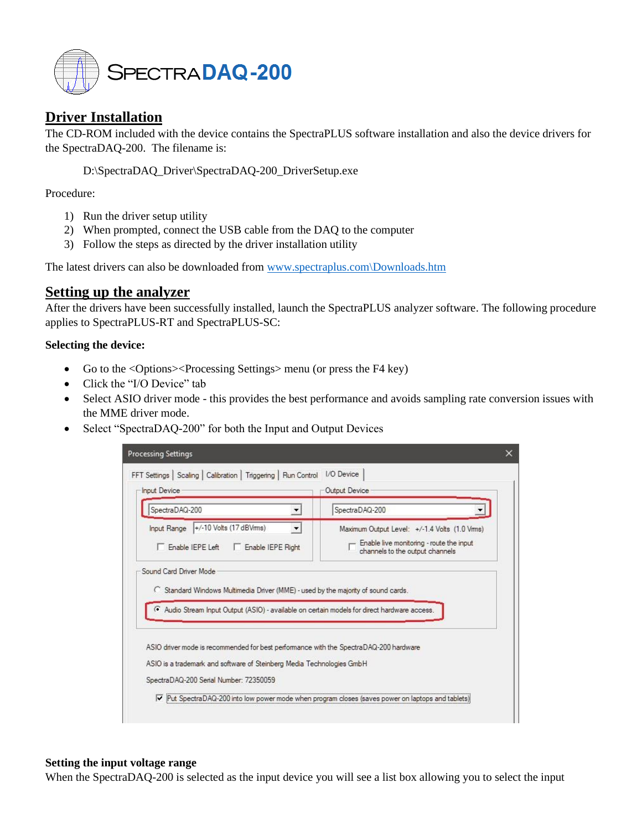

# **Driver Installation**

The CD-ROM included with the device contains the SpectraPLUS software installation and also the device drivers for the SpectraDAQ-200. The filename is:

D:\SpectraDAQ\_Driver\SpectraDAQ-200\_DriverSetup.exe

Procedure:

- 1) Run the driver setup utility
- 2) When prompted, connect the USB cable from the DAQ to the computer
- 3) Follow the steps as directed by the driver installation utility

The latest drivers can also be downloaded from [www.spectraplus.com\Downloads.htm](http://www.spectraplus.com/Downloads.htm)

# **Setting up the analyzer**

After the drivers have been successfully installed, launch the SpectraPLUS analyzer software. The following procedure applies to SpectraPLUS-RT and SpectraPLUS-SC:

#### **Selecting the device:**

- Go to the <Options><Processing Settings> menu (or press the F4 key)
- Click the "I/O Device" tab
- Select ASIO driver mode this provides the best performance and avoids sampling rate conversion issues with the MME driver mode.
- Select "SpectraDAQ-200" for both the Input and Output Devices

| SpectraDAQ-200                                                                                                                                                                      | SpectraDAQ-200                                                                                                                |
|-------------------------------------------------------------------------------------------------------------------------------------------------------------------------------------|-------------------------------------------------------------------------------------------------------------------------------|
| +/-10 Volts (17 dBVms)<br><b>Input Range</b><br>F Enable IEPE Left<br>Enable IEPE Right                                                                                             | Maximum Output Level: +/-1.4 Volts (1.0 Vms)<br>- Enable live monitoring - route the input<br>channels to the output channels |
| C Standard Windows Multimedia Driver (MME) - used by the majority of sound cards.                                                                                                   |                                                                                                                               |
| Audio Stream Input Output (ASIO) - available on certain models for direct hardware access.<br>ASIO driver mode is recommended for best performance with the SpectraDAQ-200 hardware |                                                                                                                               |

#### **Setting the input voltage range**

When the SpectraDAQ-200 is selected as the input device you will see a list box allowing you to select the input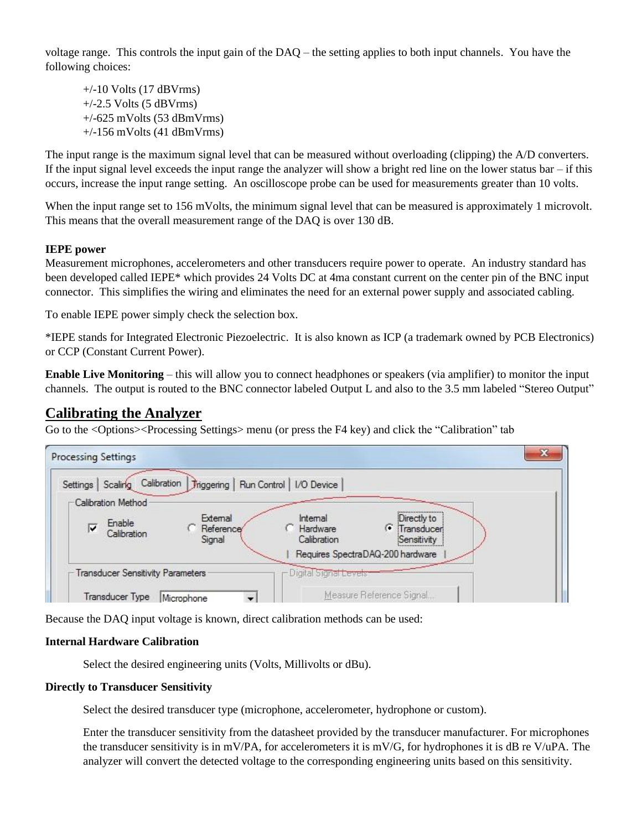voltage range. This controls the input gain of the DAQ – the setting applies to both input channels. You have the following choices:

 $+/-10$  Volts (17 dBVrms)  $+/-2.5$  Volts (5 dBVrms)  $+/-625$  mVolts (53 dBmVrms) +/-156 mVolts (41 dBmVrms)

The input range is the maximum signal level that can be measured without overloading (clipping) the A/D converters. If the input signal level exceeds the input range the analyzer will show a bright red line on the lower status bar  $-$  if this occurs, increase the input range setting. An oscilloscope probe can be used for measurements greater than 10 volts.

When the input range set to 156 mVolts, the minimum signal level that can be measured is approximately 1 microvolt. This means that the overall measurement range of the DAQ is over 130 dB.

# **IEPE power**

Measurement microphones, accelerometers and other transducers require power to operate. An industry standard has been developed called IEPE\* which provides 24 Volts DC at 4ma constant current on the center pin of the BNC input connector. This simplifies the wiring and eliminates the need for an external power supply and associated cabling.

To enable IEPE power simply check the selection box.

\*IEPE stands for Integrated Electronic Piezoelectric. It is also known as ICP (a trademark owned by PCB Electronics) or CCP (Constant Current Power).

**Enable Live Monitoring** – this will allow you to connect headphones or speakers (via amplifier) to monitor the input channels. The output is routed to the BNC connector labeled Output L and also to the 3.5 mm labeled "Stereo Output"

# **Calibrating the Analyzer**

Go to the <Options><Processing Settings> menu (or press the F4 key) and click the "Calibration" tab

| Processing Settings<br>Calibration<br>Triggering   Run Control  <br>Scaling<br>Settings           | I/O Device                                                                                                                       |
|---------------------------------------------------------------------------------------------------|----------------------------------------------------------------------------------------------------------------------------------|
| -Calibration Method<br>External<br>Enable<br>⊽<br>Reference <sup>®</sup><br>Calibration<br>Signal | <br>Internal<br>Directly to<br><b>• Transducer</b><br>Hardware<br>Calibration<br>Sensitivity<br>Requires SpectraDAQ-200 hardware |
| <b>Transducer Sensitivity Parameters</b>                                                          | Digital Signal Levels                                                                                                            |
| Transducer Type<br>Microphone                                                                     | Measure Reference Signal                                                                                                         |

Because the DAQ input voltage is known, direct calibration methods can be used:

#### **Internal Hardware Calibration**

Select the desired engineering units (Volts, Millivolts or dBu).

#### **Directly to Transducer Sensitivity**

Select the desired transducer type (microphone, accelerometer, hydrophone or custom).

Enter the transducer sensitivity from the datasheet provided by the transducer manufacturer. For microphones the transducer sensitivity is in mV/PA, for accelerometers it is mV/G, for hydrophones it is dB re V/uPA. The analyzer will convert the detected voltage to the corresponding engineering units based on this sensitivity.